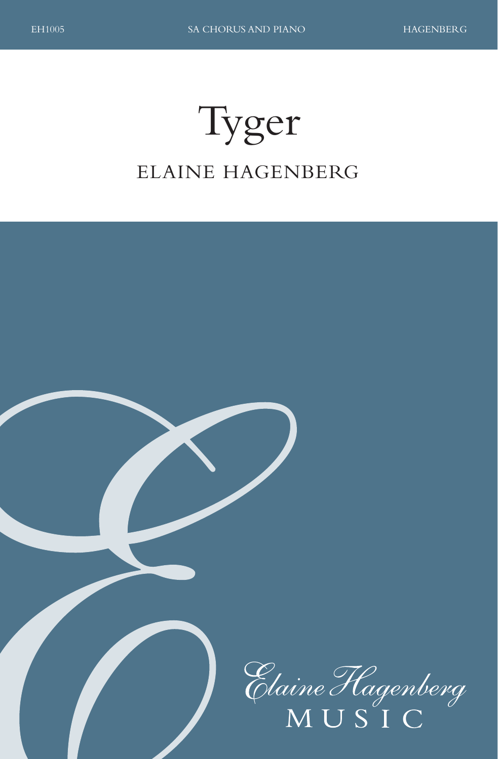# Tyger ELAINE HAGENBERG

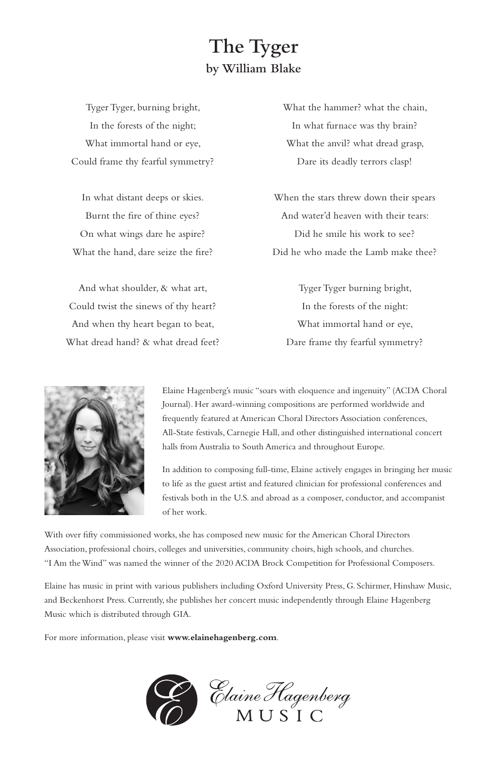### **The Tyger by William Blake**

Tyger Tyger, burning bright, In the forests of the night; What immortal hand or eye, Could frame thy fearful symmetry?

In what distant deeps or skies. Burnt the fire of thine eyes? On what wings dare he aspire? What the hand, dare seize the fire?

And what shoulder, & what art, Could twist the sinews of thy heart? And when thy heart began to beat, What dread hand? & what dread feet? What the hammer? what the chain, In what furnace was thy brain? What the anvil? what dread grasp, Dare its deadly terrors clasp!

When the stars threw down their spears And water'd heaven with their tears: Did he smile his work to see? Did he who made the Lamb make thee?

Tyger Tyger burning bright, In the forests of the night: What immortal hand or eye, Dare frame thy fearful symmetry?



Elaine Hagenberg's music "soars with eloquence and ingenuity" (ACDA Choral Journal). Her award-winning compositions are performed worldwide and frequently featured at American Choral Directors Association conferences, All-State festivals, Carnegie Hall, and other distinguished international concert halls from Australia to South America and throughout Europe.

In addition to composing full-time, Elaine actively engages in bringing her music to life as the guest artist and featured clinician for professional conferences and festivals both in the U.S. and abroad as a composer, conductor, and accompanist of her work.

With over fifty commissioned works, she has composed new music for the American Choral Directors Association, professional choirs, colleges and universities, community choirs, high schools, and churches. "I Am the Wind" was named the winner of the 2020 ACDA Brock Competition for Professional Composers.

Elaine has music in print with various publishers including Oxford University Press, G. Schirmer, Hinshaw Music, and Beckenhorst Press. Currently, she publishes her concert music independently through Elaine Hagenberg Music which is distributed through GIA.

For more information, please visit **www.elainehagenberg.com**.

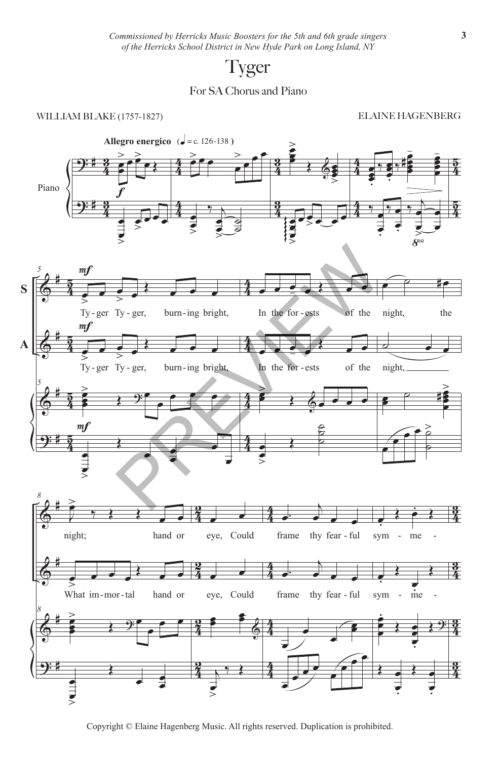## Tyger

#### For SA Chorus and Piano

#### WILLIAM BLAKE (1757-1827)

ELAINE HAGENBERG



Copyright © Elaine Hagenberg Music. All rights reserved. Duplication is prohibited.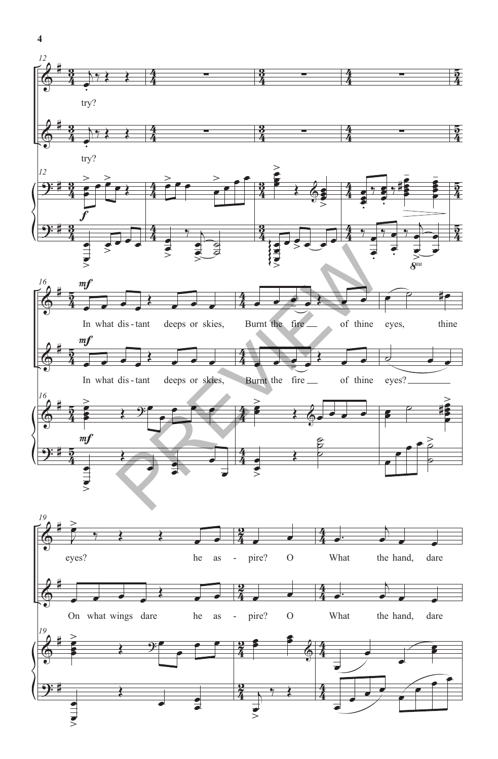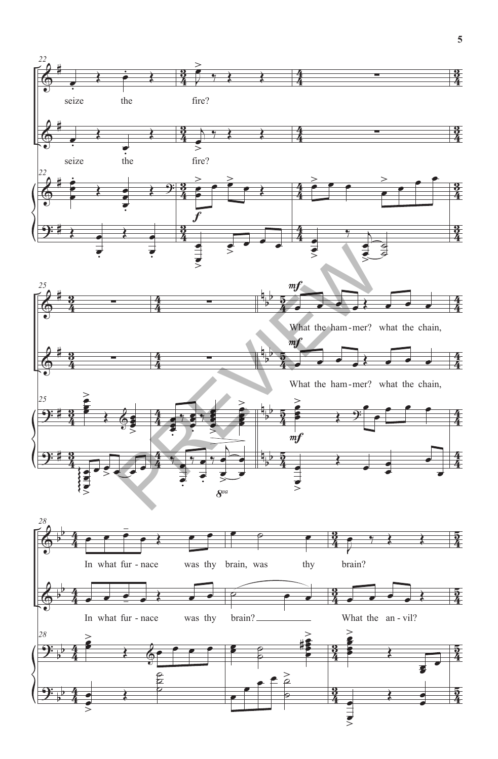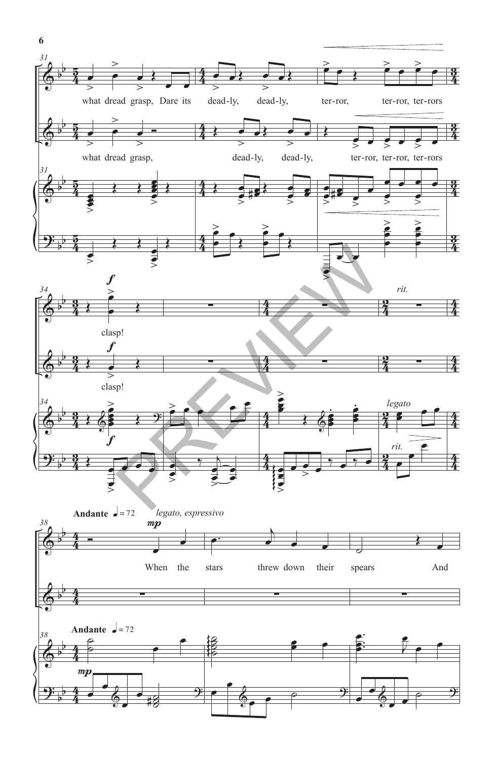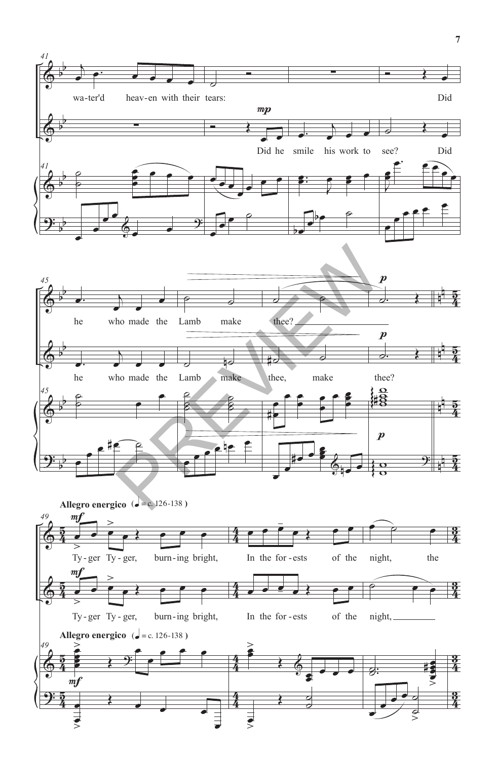